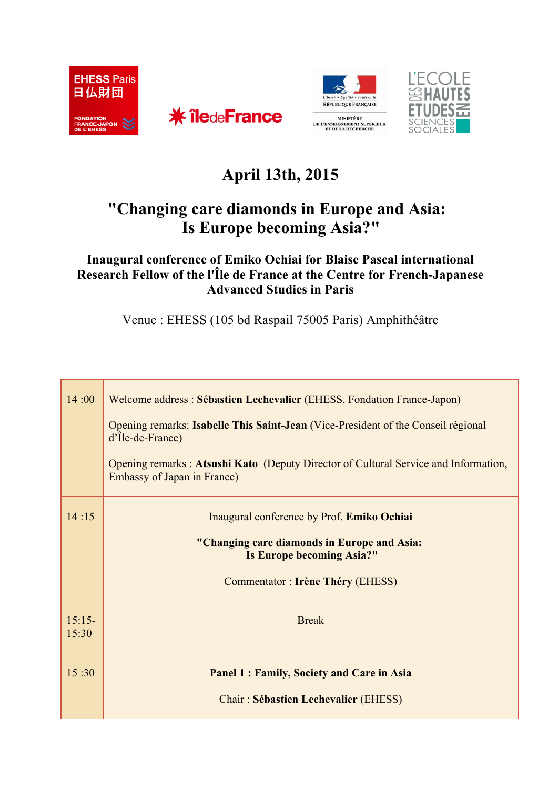







## **April 13th, 2015**

## **"Changing care diamonds in Europe and Asia: Is Europe becoming Asia?"**

**Inaugural conference of Emiko Ochiai for Blaise Pascal international Research Fellow of the l'Île de France at the Centre for French-Japanese Advanced Studies in Paris**

Venue : EHESS (105 bd Raspail 75005 Paris) Amphithéâtre

| 14:00             | Welcome address : Sébastien Lechevalier (EHESS, Fondation France-Japon)                                            |
|-------------------|--------------------------------------------------------------------------------------------------------------------|
|                   | Opening remarks: Isabelle This Saint-Jean (Vice-President of the Conseil régional<br>$d'$ Île-de-France)           |
|                   | Opening remarks: Atsushi Kato (Deputy Director of Cultural Service and Information,<br>Embassy of Japan in France) |
| 14:15             | Inaugural conference by Prof. Emiko Ochiai                                                                         |
|                   | "Changing care diamonds in Europe and Asia:<br>Is Europe becoming Asia?"                                           |
|                   | Commentator : Irène Théry (EHESS)                                                                                  |
| $15:15-$<br>15:30 | <b>Break</b>                                                                                                       |
| 15:30             | <b>Panel 1: Family, Society and Care in Asia</b>                                                                   |
|                   | <b>Chair: Sébastien Lechevalier (EHESS)</b>                                                                        |